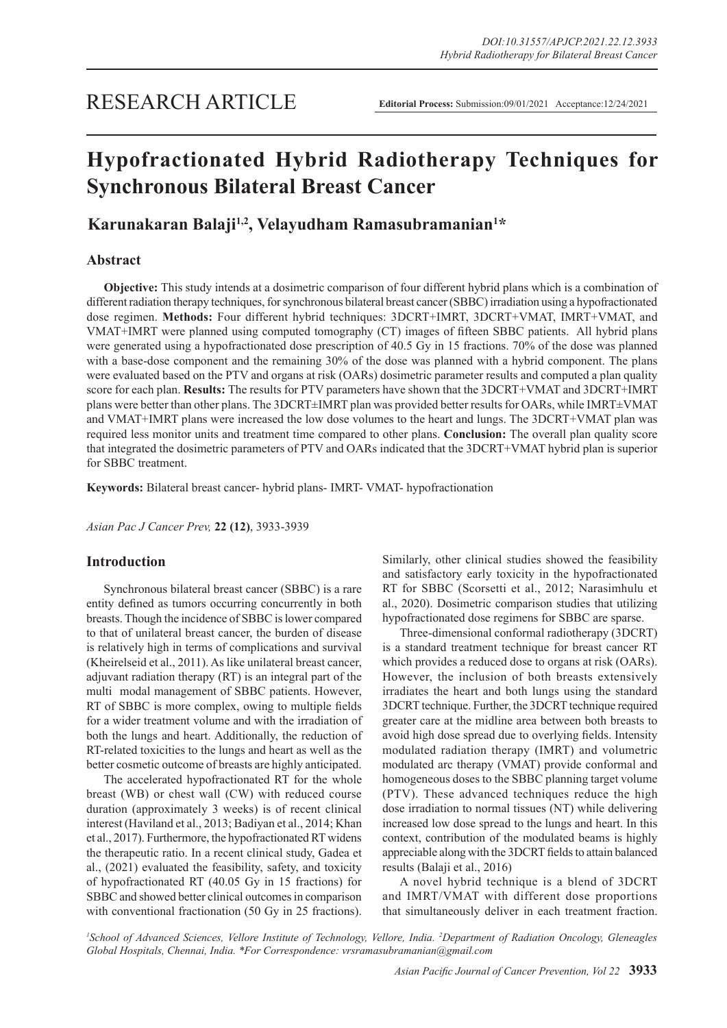# **Hypofractionated Hybrid Radiotherapy Techniques for Synchronous Bilateral Breast Cancer**

## **Karunakaran Balaji1,2, Velayudham Ramasubramanian1 \***

## **Abstract**

**Objective:** This study intends at a dosimetric comparison of four different hybrid plans which is a combination of different radiation therapy techniques, for synchronous bilateral breast cancer (SBBC) irradiation using a hypofractionated dose regimen. **Methods:** Four different hybrid techniques: 3DCRT+IMRT, 3DCRT+VMAT, IMRT+VMAT, and VMAT+IMRT were planned using computed tomography (CT) images of fifteen SBBC patients. All hybrid plans were generated using a hypofractionated dose prescription of 40.5 Gy in 15 fractions. 70% of the dose was planned with a base-dose component and the remaining 30% of the dose was planned with a hybrid component. The plans were evaluated based on the PTV and organs at risk (OARs) dosimetric parameter results and computed a plan quality score for each plan. **Results:** The results for PTV parameters have shown that the 3DCRT+VMAT and 3DCRT+IMRT plans were better than other plans. The 3DCRT±IMRT plan was provided better results for OARs, while IMRT±VMAT and VMAT+IMRT plans were increased the low dose volumes to the heart and lungs. The 3DCRT+VMAT plan was required less monitor units and treatment time compared to other plans. **Conclusion:** The overall plan quality score that integrated the dosimetric parameters of PTV and OARs indicated that the 3DCRT+VMAT hybrid plan is superior for SBBC treatment.

**Keywords:** Bilateral breast cancer- hybrid plans- IMRT- VMAT- hypofractionation

*Asian Pac J Cancer Prev,* **22 (12)**, 3933-3939

## **Introduction**

Synchronous bilateral breast cancer (SBBC) is a rare entity defined as tumors occurring concurrently in both breasts. Though the incidence of SBBC is lower compared to that of unilateral breast cancer, the burden of disease is relatively high in terms of complications and survival (Kheirelseid et al., 2011). As like unilateral breast cancer, adjuvant radiation therapy (RT) is an integral part of the multi modal management of SBBC patients. However, RT of SBBC is more complex, owing to multiple fields for a wider treatment volume and with the irradiation of both the lungs and heart. Additionally, the reduction of RT-related toxicities to the lungs and heart as well as the better cosmetic outcome of breasts are highly anticipated.

The accelerated hypofractionated RT for the whole breast (WB) or chest wall (CW) with reduced course duration (approximately 3 weeks) is of recent clinical interest (Haviland et al., 2013; Badiyan et al., 2014; Khan et al., 2017). Furthermore, the hypofractionated RT widens the therapeutic ratio. In a recent clinical study, Gadea et al., (2021) evaluated the feasibility, safety, and toxicity of hypofractionated RT (40.05 Gy in 15 fractions) for SBBC and showed better clinical outcomes in comparison with conventional fractionation (50 Gy in 25 fractions).

Similarly, other clinical studies showed the feasibility and satisfactory early toxicity in the hypofractionated RT for SBBC (Scorsetti et al., 2012; Narasimhulu et al., 2020). Dosimetric comparison studies that utilizing hypofractionated dose regimens for SBBC are sparse.

Three-dimensional conformal radiotherapy (3DCRT) is a standard treatment technique for breast cancer RT which provides a reduced dose to organs at risk (OARs). However, the inclusion of both breasts extensively irradiates the heart and both lungs using the standard 3DCRT technique. Further, the 3DCRT technique required greater care at the midline area between both breasts to avoid high dose spread due to overlying fields. Intensity modulated radiation therapy (IMRT) and volumetric modulated arc therapy (VMAT) provide conformal and homogeneous doses to the SBBC planning target volume (PTV). These advanced techniques reduce the high dose irradiation to normal tissues (NT) while delivering increased low dose spread to the lungs and heart. In this context, contribution of the modulated beams is highly appreciable along with the 3DCRT fields to attain balanced results (Balaji et al., 2016)

A novel hybrid technique is a blend of 3DCRT and IMRT/VMAT with different dose proportions that simultaneously deliver in each treatment fraction.

*1 School of Advanced Sciences, Vellore Institute of Technology, Vellore, India. 2 Department of Radiation Oncology, Gleneagles Global Hospitals, Chennai, India. \*For Correspondence: vrsramasubramanian@gmail.com*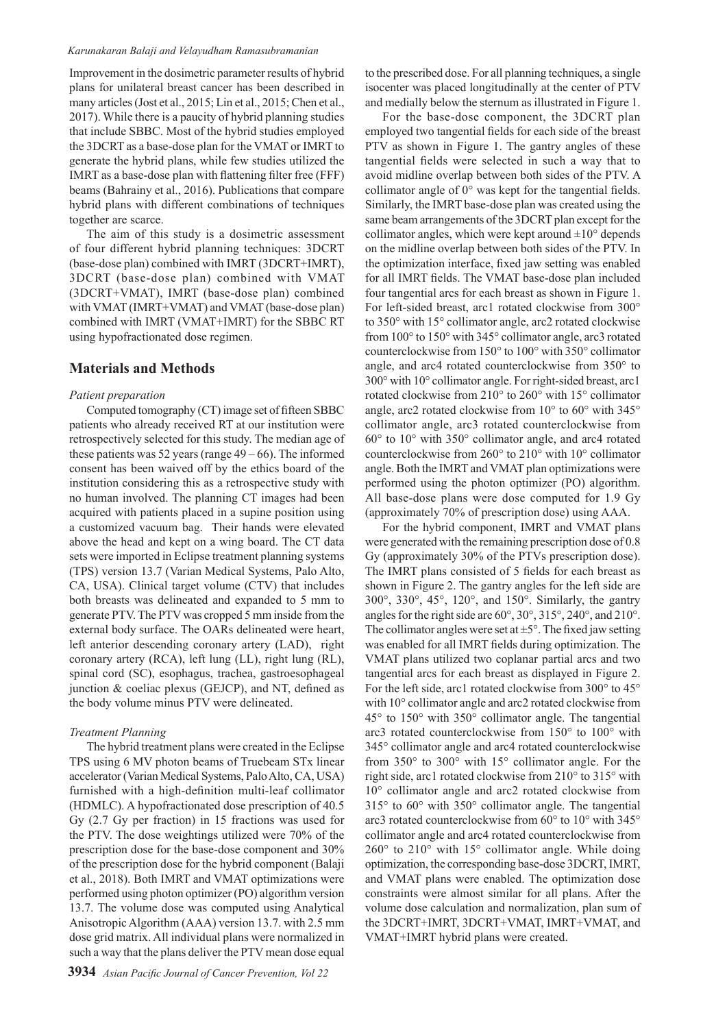#### *Karunakaran Balaji and Velayudham Ramasubramanian*

Improvement in the dosimetric parameter results of hybrid plans for unilateral breast cancer has been described in many articles (Jost et al., 2015; Lin et al., 2015; Chen et al., 2017). While there is a paucity of hybrid planning studies that include SBBC. Most of the hybrid studies employed the 3DCRT as a base-dose plan for the VMAT or IMRT to generate the hybrid plans, while few studies utilized the IMRT as a base-dose plan with flattening filter free (FFF) beams (Bahrainy et al., 2016). Publications that compare hybrid plans with different combinations of techniques together are scarce.

The aim of this study is a dosimetric assessment of four different hybrid planning techniques: 3DCRT (base-dose plan) combined with IMRT (3DCRT+IMRT), 3DCRT (base-dose plan) combined with VMAT (3DCRT+VMAT), IMRT (base-dose plan) combined with VMAT (IMRT+VMAT) and VMAT (base-dose plan) combined with IMRT (VMAT+IMRT) for the SBBC RT using hypofractionated dose regimen.

## **Materials and Methods**

#### *Patient preparation*

Computed tomography (CT) image set of fifteen SBBC patients who already received RT at our institution were retrospectively selected for this study. The median age of these patients was 52 years (range  $49-66$ ). The informed consent has been waived off by the ethics board of the institution considering this as a retrospective study with no human involved. The planning CT images had been acquired with patients placed in a supine position using a customized vacuum bag. Their hands were elevated above the head and kept on a wing board. The CT data sets were imported in Eclipse treatment planning systems (TPS) version 13.7 (Varian Medical Systems, Palo Alto, CA, USA). Clinical target volume (CTV) that includes both breasts was delineated and expanded to 5 mm to generate PTV. The PTV was cropped 5 mm inside from the external body surface. The OARs delineated were heart, left anterior descending coronary artery (LAD), right coronary artery (RCA), left lung (LL), right lung (RL), spinal cord (SC), esophagus, trachea, gastroesophageal junction & coeliac plexus (GEJCP), and NT, defined as the body volume minus PTV were delineated.

#### *Treatment Planning*

The hybrid treatment plans were created in the Eclipse TPS using 6 MV photon beams of Truebeam STx linear accelerator (Varian Medical Systems, Palo Alto, CA, USA) furnished with a high-definition multi-leaf collimator (HDMLC). A hypofractionated dose prescription of 40.5 Gy (2.7 Gy per fraction) in 15 fractions was used for the PTV. The dose weightings utilized were 70% of the prescription dose for the base-dose component and 30% of the prescription dose for the hybrid component (Balaji et al., 2018). Both IMRT and VMAT optimizations were performed using photon optimizer (PO) algorithm version 13.7. The volume dose was computed using Analytical Anisotropic Algorithm (AAA) version 13.7. with 2.5 mm dose grid matrix. All individual plans were normalized in such a way that the plans deliver the PTV mean dose equal

to the prescribed dose. For all planning techniques, a single isocenter was placed longitudinally at the center of PTV and medially below the sternum as illustrated in Figure 1.

For the base-dose component, the 3DCRT plan employed two tangential fields for each side of the breast PTV as shown in Figure 1. The gantry angles of these tangential fields were selected in such a way that to avoid midline overlap between both sides of the PTV. A collimator angle of 0° was kept for the tangential fields. Similarly, the IMRT base-dose plan was created using the same beam arrangements of the 3DCRT plan except for the collimator angles, which were kept around  $\pm 10^{\circ}$  depends on the midline overlap between both sides of the PTV. In the optimization interface, fixed jaw setting was enabled for all IMRT fields. The VMAT base-dose plan included four tangential arcs for each breast as shown in Figure 1. For left-sided breast, arc1 rotated clockwise from 300° to 350° with 15° collimator angle, arc2 rotated clockwise from 100° to 150° with 345° collimator angle, arc3 rotated counterclockwise from 150° to 100° with 350° collimator angle, and arc4 rotated counterclockwise from 350° to 300° with 10° collimator angle. For right-sided breast, arc1 rotated clockwise from 210° to 260° with 15° collimator angle, arc2 rotated clockwise from 10° to 60° with 345° collimator angle, arc3 rotated counterclockwise from 60° to 10° with 350° collimator angle, and arc4 rotated counterclockwise from 260° to 210° with 10° collimator angle. Both the IMRT and VMAT plan optimizations were performed using the photon optimizer (PO) algorithm. All base-dose plans were dose computed for 1.9 Gy (approximately 70% of prescription dose) using AAA.

For the hybrid component, IMRT and VMAT plans were generated with the remaining prescription dose of 0.8 Gy (approximately 30% of the PTVs prescription dose). The IMRT plans consisted of 5 fields for each breast as shown in Figure 2. The gantry angles for the left side are 300°, 330°, 45°, 120°, and 150°. Similarly, the gantry angles for the right side are 60°, 30°, 315°, 240°, and 210°. The collimator angles were set at  $\pm 5^{\circ}$ . The fixed jaw setting was enabled for all IMRT fields during optimization. The VMAT plans utilized two coplanar partial arcs and two tangential arcs for each breast as displayed in Figure 2. For the left side, arc1 rotated clockwise from 300° to 45° with 10° collimator angle and arc2 rotated clockwise from 45° to 150° with 350° collimator angle. The tangential arc3 rotated counterclockwise from 150° to 100° with 345° collimator angle and arc4 rotated counterclockwise from 350° to 300° with 15° collimator angle. For the right side, arc1 rotated clockwise from 210° to 315° with 10° collimator angle and arc2 rotated clockwise from 315° to 60° with 350° collimator angle. The tangential arc3 rotated counterclockwise from 60° to 10° with 345° collimator angle and arc4 rotated counterclockwise from 260° to 210° with 15° collimator angle. While doing optimization, the corresponding base-dose 3DCRT, IMRT, and VMAT plans were enabled. The optimization dose constraints were almost similar for all plans. After the volume dose calculation and normalization, plan sum of the 3DCRT+IMRT, 3DCRT+VMAT, IMRT+VMAT, and VMAT+IMRT hybrid plans were created.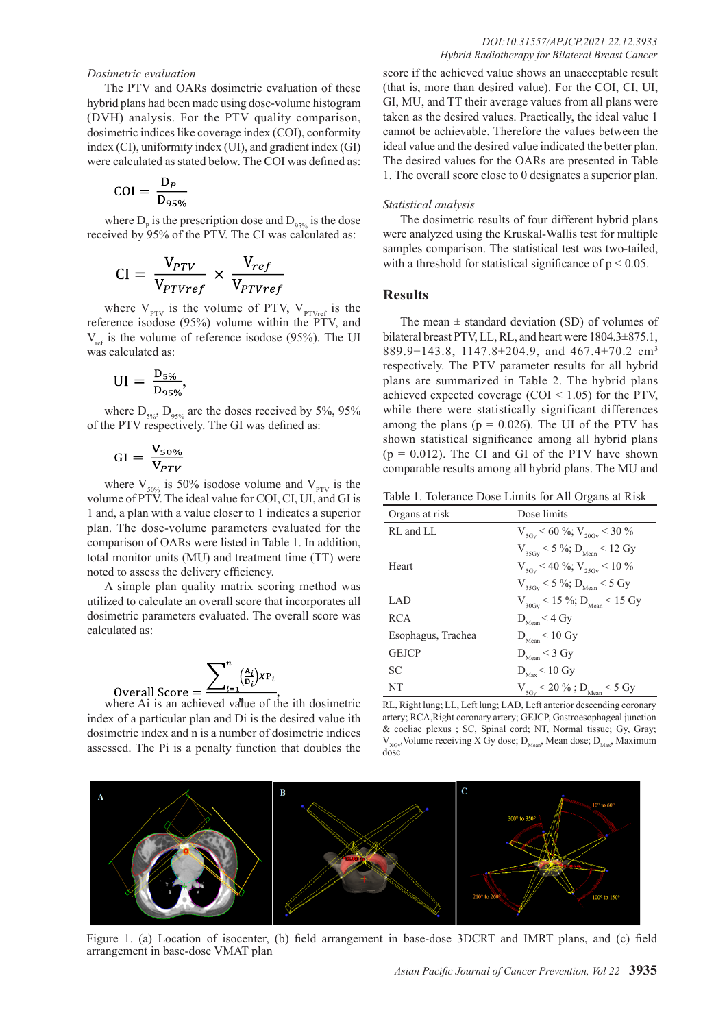#### *Dosimetric evaluation*

The PTV and OARs dosimetric evaluation of these hybrid plans had been made using dose-volume histogram (DVH) analysis. For the PTV quality comparison, dosimetric indices like coverage index (COI), conformity index (CI), uniformity index (UI), and gradient index (GI) were calculated as stated below. The COI was defined as:

$$
COI = \frac{D_P}{D_{95\%}}
$$

where  $D_p$  is the prescription dose and  $D_{95\%}$  is the dose received by 95% of the PTV. The CI was calculated as:

$$
CI = \frac{V_{PTV}}{V_{PTVref}} \times \frac{V_{ref}}{V_{PTVref}}
$$

where  $V_{PTV}$  is the volume of PTV,  $V_{PTVref}$  is the reference isodose (95%) volume within the PTV, and  $V_{ref}$  is the volume of reference isodose (95%). The UI was calculated as:

$$
UI = \frac{D_{5\%}}{D_{95\%}},
$$

where  $D_{5\%}, D_{95\%}$  are the doses received by 5%, 95% of the PTV respectively. The GI was defined as:

$$
GI = \frac{V_{50\%}}{V_{PTV}}
$$

**Overall Score** 

where  $V_{50\%}$  is 50% isodose volume and  $V_{PTV}$  is the volume of PTV. The ideal value for COI, CI, UI, and GI is 1 and, a plan with a value closer to 1 indicates a superior plan. The dose-volume parameters evaluated for the comparison of OARs were listed in Table 1. In addition, total monitor units (MU) and treatment time (TT) were noted to assess the delivery efficiency.

A simple plan quality matrix scoring method was utilized to calculate an overall score that incorporates all dosimetric parameters evaluated. The overall score was calculated as:

$$
=\frac{\sum_{i=1}^{n} \binom{A_i}{D_i} X P_i}{n}
$$

where Ai is an achieved value of the ith dosimetric index of a particular plan and Di is the desired value ith dosimetric index and n is a number of dosimetric indices assessed. The Pi is a penalty function that doubles the score if the achieved value shows an unacceptable result (that is, more than desired value). For the COI, CI, UI, GI, MU, and TT their average values from all plans were taken as the desired values. Practically, the ideal value 1 cannot be achievable. Therefore the values between the ideal value and the desired value indicated the better plan. The desired values for the OARs are presented in Table 1. The overall score close to 0 designates a superior plan.

#### *Statistical analysis*

The dosimetric results of four different hybrid plans were analyzed using the Kruskal-Wallis test for multiple samples comparison. The statistical test was two-tailed, with a threshold for statistical significance of  $p \le 0.05$ .

## **Results**

The mean  $\pm$  standard deviation (SD) of volumes of bilateral breast PTV, LL, RL, and heart were 1804.3±875.1, 889.9±143.8, 1147.8±204.9, and 467.4±70.2 cm<sup>3</sup> respectively. The PTV parameter results for all hybrid plans are summarized in Table 2. The hybrid plans achieved expected coverage (COI < 1.05) for the PTV, while there were statistically significant differences among the plans ( $p = 0.026$ ). The UI of the PTV has shown statistical significance among all hybrid plans  $(p = 0.012)$ . The CI and GI of the PTV have shown comparable results among all hybrid plans. The MU and

Table 1. Tolerance Dose Limits for All Organs at Risk

| dicates a superior                                          | Organs at risk     | Dose limits                                                |
|-------------------------------------------------------------|--------------------|------------------------------------------------------------|
| valuated for the<br>ple 1. In addition,<br>t time (TT) were | RL and LL          | $V_{SGV}$ < 60 %; $V_{20GV}$ < 30 %                        |
|                                                             |                    | $V_{35Gv}$ < 5 %; $D_{Mean}$ < 12 Gy                       |
|                                                             | Heart              | $V_{SGV}$ < 40 %; $V_{2SGV}$ < 10 %                        |
| ring method was                                             |                    | $V_{35Gv}$ < 5 %; $D_{Mean}$ < 5 Gy                        |
| at incorporates all                                         | LAD                | $\rm V_{_{30Gy}}$ < 15 %; $\rm D_{\rm Mean}$ < 15 Gy       |
| overall score was                                           | <b>RCA</b>         | $D_{\textrm{Mean}}\!<\!4$ Gy                               |
|                                                             | Esophagus, Trachea | $\rm D_{Mean}\,{<}\,10$ Gy                                 |
|                                                             | <b>GEJCP</b>       | $\rm D_{Mean} \leq 3$ Gy                                   |
|                                                             | <b>SC</b>          | $\rm D_{\rm Max}\,{<}\,10$ Gy                              |
|                                                             | NT                 | $\rm V_{_{5Gy}}\,{<}\,20$ % ; $\rm D_{_{Mean}}\,{<}\,5$ Gy |
|                                                             |                    |                                                            |

RL, Right lung; LL, Left lung; LAD, Left anterior descending coronary artery; RCA,Right coronary artery; GEJCP, Gastroesophageal junction & coeliac plexus ; SC, Spinal cord; NT, Normal tissue; Gy, Gray;  $V_{XGv}$ Volume receiving X Gy dose;  $D_{\text{Mean}}$ , Mean dose;  $D_{\text{Max}}$ , Maximum dose



Figure 1. (a) Location of isocenter, (b) field arrangement in base-dose 3DCRT and IMRT plans, and (c) field arrangement in base-dose VMAT plan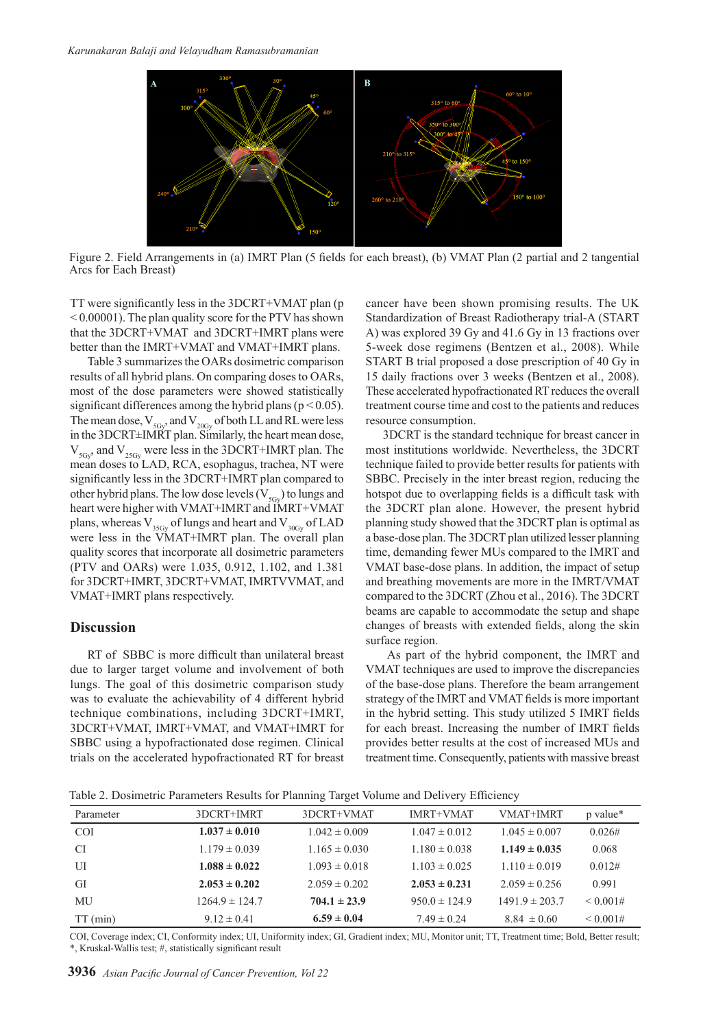

Figure 2. Field Arrangements in (a) IMRT Plan (5 fields for each breast), (b) VMAT Plan (2 partial and 2 tangential Arcs for Each Breast)

TT were significantly less in the 3DCRT+VMAT plan (p < 0.00001). The plan quality score for the PTV has shown that the 3DCRT+VMAT and 3DCRT+IMRT plans were better than the IMRT+VMAT and VMAT+IMRT plans.

Table 3 summarizes the OARs dosimetric comparison results of all hybrid plans. On comparing doses to OARs, most of the dose parameters were showed statistically significant differences among the hybrid plans ( $p < 0.05$ ). The mean dose,  $V_{5Gv}$  and  $V_{20Gv}$  of both LL and RL were less in the 3DCRT±IMRT plan. Similarly, the heart mean dose,  $V_{5Gy}$ , and  $V_{25Gy}$  were less in the 3DCRT+IMRT plan. The mean doses to LAD, RCA, esophagus, trachea, NT were significantly less in the 3DCRT+IMRT plan compared to other hybrid plans. The low dose levels  $(V_{5G_y})$  to lungs and heart were higher with VMAT+IMRT and IMRT+VMAT plans, whereas  $V_{35G_y}$  of lungs and heart and  $V_{30G_y}$  of LAD were less in the VMAT+IMRT plan. The overall plan quality scores that incorporate all dosimetric parameters (PTV and OARs) were 1.035, 0.912, 1.102, and 1.381 for 3DCRT+IMRT, 3DCRT+VMAT, IMRTVVMAT, and VMAT+IMRT plans respectively.

#### **Discussion**

RT of SBBC is more difficult than unilateral breast due to larger target volume and involvement of both lungs. The goal of this dosimetric comparison study was to evaluate the achievability of 4 different hybrid technique combinations, including 3DCRT+IMRT, 3DCRT+VMAT, IMRT+VMAT, and VMAT+IMRT for SBBC using a hypofractionated dose regimen. Clinical trials on the accelerated hypofractionated RT for breast cancer have been shown promising results. The UK Standardization of Breast Radiotherapy trial-A (START A) was explored 39 Gy and 41.6 Gy in 13 fractions over 5-week dose regimens (Bentzen et al., 2008). While START B trial proposed a dose prescription of 40 Gy in 15 daily fractions over 3 weeks (Bentzen et al., 2008). These accelerated hypofractionated RT reduces the overall treatment course time and cost to the patients and reduces resource consumption.

3DCRT is the standard technique for breast cancer in most institutions worldwide. Nevertheless, the 3DCRT technique failed to provide better results for patients with SBBC. Precisely in the inter breast region, reducing the hotspot due to overlapping fields is a difficult task with the 3DCRT plan alone. However, the present hybrid planning study showed that the 3DCRT plan is optimal as a base-dose plan. The 3DCRT plan utilized lesser planning time, demanding fewer MUs compared to the IMRT and VMAT base-dose plans. In addition, the impact of setup and breathing movements are more in the IMRT/VMAT compared to the 3DCRT (Zhou et al., 2016). The 3DCRT beams are capable to accommodate the setup and shape changes of breasts with extended fields, along the skin surface region.

 As part of the hybrid component, the IMRT and VMAT techniques are used to improve the discrepancies of the base-dose plans. Therefore the beam arrangement strategy of the IMRT and VMAT fields is more important in the hybrid setting. This study utilized 5 IMRT fields for each breast. Increasing the number of IMRT fields provides better results at the cost of increased MUs and treatment time. Consequently, patients with massive breast

Table 2. Dosimetric Parameters Results for Planning Target Volume and Delivery Efficiency

| Parameter  | 3DCRT+IMRT         | 3DCRT+VMAT        | <b>IMRT+VMAT</b>  | <b>VMAT+IMRT</b>   | p value* |  |
|------------|--------------------|-------------------|-------------------|--------------------|----------|--|
| <b>COI</b> | $1.037 \pm 0.010$  | $1.042 \pm 0.009$ | $1.047 \pm 0.012$ | $1.045 \pm 0.007$  | 0.026#   |  |
| CI.        | $1.179 \pm 0.039$  | $1.165 \pm 0.030$ | $1.180 \pm 0.038$ | $1.149 \pm 0.035$  | 0.068    |  |
| UI         | $1.088 \pm 0.022$  | $1.093 \pm 0.018$ | $1.103 \pm 0.025$ | $1.110 \pm 0.019$  | 0.012#   |  |
| GI         | $2.053 \pm 0.202$  | $2.059 \pm 0.202$ | $2.053 \pm 0.231$ | $2.059 \pm 0.256$  | 0.991    |  |
| MU         | $1264.9 \pm 124.7$ | $704.1 \pm 23.9$  | $950.0 \pm 124.9$ | $1491.9 \pm 203.7$ | < 0.001# |  |
| $TT$ (min) | $9.12 \pm 0.41$    | $6.59 \pm 0.04$   | $7.49 \pm 0.24$   | $8.84 \pm 0.60$    | < 0.001# |  |

COI, Coverage index; CI, Conformity index; UI, Uniformity index; GI, Gradient index; MU, Monitor unit; TT, Treatment time; Bold, Better result; \*, Kruskal-Wallis test; #, statistically significant result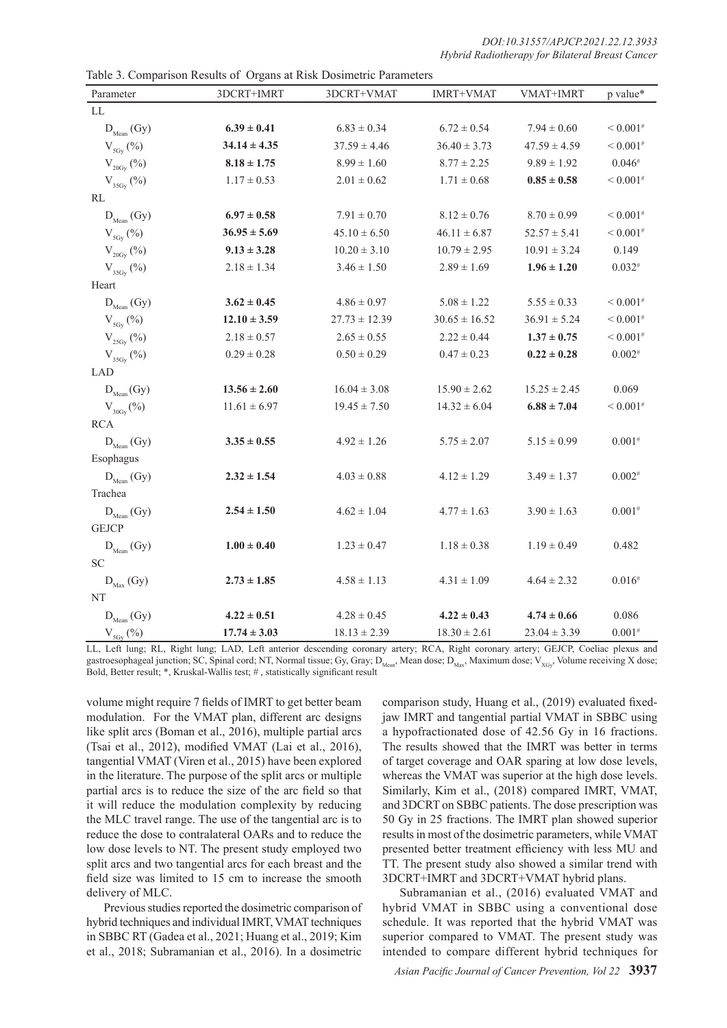| Parameter                                  | Table 5. Comparison Results of Organs at Kisk Dosmietric Farameters<br>3DCRT+IMRT | 3DCRT+VMAT        | <b>IMRT+VMAT</b>  | VMAT+IMRT        | p value*                 |
|--------------------------------------------|-----------------------------------------------------------------------------------|-------------------|-------------------|------------------|--------------------------|
| LL                                         |                                                                                   |                   |                   |                  |                          |
| $D_{Mean}$ (Gy)                            | $6.39 \pm 0.41$                                                                   | $6.83 \pm 0.34$   | $6.72 \pm 0.54$   | $7.94 \pm 0.60$  | ${}< 0.001$ <sup>#</sup> |
| $V_{\mathrm{5Gy}}\left(\mathrm{\%}\right)$ | $34.14 \pm 4.35$                                                                  | $37.59 \pm 4.46$  | $36.40 \pm 3.73$  | $47.59 \pm 4.59$ | ${}< 0.001$ <sup>#</sup> |
| $V_{20Gy}(\%)$                             | $8.18 \pm 1.75$                                                                   | $8.99 \pm 1.60$   | $8.77 \pm 2.25$   | $9.89 \pm 1.92$  | $0.046*$                 |
| $V_{35Gy}(\%)$                             | $1.17 \pm 0.53$                                                                   | $2.01 \pm 0.62$   | $1.71 \pm 0.68$   | $0.85 \pm 0.58$  | ${}< 0.001$ <sup>#</sup> |
| $\mathbf{RL}$                              |                                                                                   |                   |                   |                  |                          |
| $D_{Mean}$ (Gy)                            | $6.97 \pm 0.58$                                                                   | $7.91 \pm 0.70$   | $8.12 \pm 0.76$   | $8.70 \pm 0.99$  | ${}< 0.001$ <sup>#</sup> |
| $V_{5Gy}(\%)$                              | $36.95 \pm 5.69$                                                                  | $45.10 \pm 6.50$  | $46.11 \pm 6.87$  | $52.57 \pm 5.41$ | ${}< 0.001$ <sup>#</sup> |
| $V_{20\text{Gy}}(%)$                       | $9.13 \pm 3.28$                                                                   | $10.20 \pm 3.10$  | $10.79 \pm 2.95$  | $10.91 \pm 3.24$ | 0.149                    |
| $\mathrm{V}_{_{35 \mathrm{Gy}}}$ (%)       | $2.18 \pm 1.34$                                                                   | $3.46 \pm 1.50$   | $2.89 \pm 1.69$   | $1.96 \pm 1.20$  | $0.032^{#}$              |
| Heart                                      |                                                                                   |                   |                   |                  |                          |
| $D_{Mean}$ (Gy)                            | $3.62 \pm 0.45$                                                                   | $4.86 \pm 0.97$   | $5.08 \pm 1.22$   | $5.55 \pm 0.33$  | ${}< 0.001$ <sup>#</sup> |
| $V_{\rm 5Gy}(\%)$                          | $12.10 \pm 3.59$                                                                  | $27.73 \pm 12.39$ | $30.65 \pm 16.52$ | $36.91 \pm 5.24$ | ${}< 0.001$ <sup>#</sup> |
| $\rm V_{_{25Gy}}$ (%)                      | $2.18 \pm 0.57$                                                                   | $2.65 \pm 0.55$   | $2.22 \pm 0.44$   | $1.37 \pm 0.75$  | ${}< 0.001$ <sup>#</sup> |
| $V_{35Gy}(\%)$                             | $0.29 \pm 0.28$                                                                   | $0.50 \pm 0.29$   | $0.47 \pm 0.23$   | $0.22 \pm 0.28$  | $0.002^{#}$              |
| LAD                                        |                                                                                   |                   |                   |                  |                          |
| $D_{\text{Mean}}(Gy)$                      | $13.56 \pm 2.60$                                                                  | $16.04 \pm 3.08$  | $15.90 \pm 2.62$  | $15.25 \pm 2.45$ | 0.069                    |
| $V_{30Gy}(\%)$                             | $11.61 \pm 6.97$                                                                  | $19.45 \pm 7.50$  | $14.32 \pm 6.04$  | $6.88 \pm 7.04$  | ${}< 0.001$ <sup>#</sup> |
| <b>RCA</b>                                 |                                                                                   |                   |                   |                  |                          |
| $D_{\text{Mean}}(Gy)$                      | $3.35 \pm 0.55$                                                                   | $4.92 \pm 1.26$   | $5.75 \pm 2.07$   | $5.15 \pm 0.99$  | $0.001*$                 |
| Esophagus                                  |                                                                                   |                   |                   |                  |                          |
| $D_{Mean}$ (Gy)                            | $2.32 \pm 1.54$                                                                   | $4.03 \pm 0.88$   | $4.12 \pm 1.29$   | $3.49 \pm 1.37$  | $0.002^{#}$              |
| Trachea                                    |                                                                                   |                   |                   |                  |                          |
| $D_{\text{Mean}}(Gy)$                      | $2.54 \pm 1.50$                                                                   | $4.62 \pm 1.04$   | $4.77 \pm 1.63$   | $3.90 \pm 1.63$  | $0.001^{#}$              |
| <b>GEJCP</b>                               |                                                                                   |                   |                   |                  |                          |
| $D_{Mean}$ (Gy)                            | $1.00 \pm 0.40$                                                                   | $1.23 \pm 0.47$   | $1.18 \pm 0.38$   | $1.19 \pm 0.49$  | 0.482                    |
| <b>SC</b>                                  |                                                                                   |                   |                   |                  |                          |
| $D_{\text{Max}}(Gy)$                       | $2.73 \pm 1.85$                                                                   | $4.58 \pm 1.13$   | $4.31 \pm 1.09$   | $4.64 \pm 2.32$  | $0.016^{#}$              |
| NT                                         |                                                                                   |                   |                   |                  |                          |
| $D_{Mean}$ (Gy)                            | $4.22 \pm 0.51$                                                                   | $4.28 \pm 0.45$   | $4.22 \pm 0.43$   | $4.74 \pm 0.66$  | 0.086                    |
| $V_{5Gv}(\%)$                              | $17.74 \pm 3.03$                                                                  | $18.13 \pm 2.39$  | $18.30 \pm 2.61$  | $23.04 \pm 3.39$ | $0.001*$                 |

Table 3. Comparison Results of Organs at Risk Dosimetric Parameters

LL, Left lung; RL, Right lung; LAD, Left anterior descending coronary artery; RCA, Right coronary artery; GEJCP, Coeliac plexus and gastroesophageal junction; SC, Spinal cord; NT, Normal tissue; Gy, Gray; D<sub>Mean</sub>, Mean dose; D<sub>Max</sub>, Maximum dose; V<sub>XGy</sub>, Volume receiving X dose; Bold, Better result; \*, Kruskal-Wallis test; # , statistically significant result

volume might require 7 fields of IMRT to get better beam modulation. For the VMAT plan, different arc designs like split arcs (Boman et al., 2016), multiple partial arcs (Tsai et al., 2012), modified VMAT (Lai et al., 2016), tangential VMAT (Viren et al., 2015) have been explored in the literature. The purpose of the split arcs or multiple partial arcs is to reduce the size of the arc field so that it will reduce the modulation complexity by reducing the MLC travel range. The use of the tangential arc is to reduce the dose to contralateral OARs and to reduce the low dose levels to NT. The present study employed two split arcs and two tangential arcs for each breast and the field size was limited to 15 cm to increase the smooth delivery of MLC.

Previous studies reported the dosimetric comparison of hybrid techniques and individual IMRT, VMAT techniques in SBBC RT (Gadea et al., 2021; Huang et al., 2019; Kim et al., 2018; Subramanian et al., 2016). In a dosimetric

comparison study, Huang et al., (2019) evaluated fixedjaw IMRT and tangential partial VMAT in SBBC using a hypofractionated dose of 42.56 Gy in 16 fractions. The results showed that the IMRT was better in terms of target coverage and OAR sparing at low dose levels, whereas the VMAT was superior at the high dose levels. Similarly, Kim et al., (2018) compared IMRT, VMAT, and 3DCRT on SBBC patients. The dose prescription was 50 Gy in 25 fractions. The IMRT plan showed superior results in most of the dosimetric parameters, while VMAT presented better treatment efficiency with less MU and TT. The present study also showed a similar trend with 3DCRT+IMRT and 3DCRT+VMAT hybrid plans.

Subramanian et al., (2016) evaluated VMAT and hybrid VMAT in SBBC using a conventional dose schedule. It was reported that the hybrid VMAT was superior compared to VMAT. The present study was intended to compare different hybrid techniques for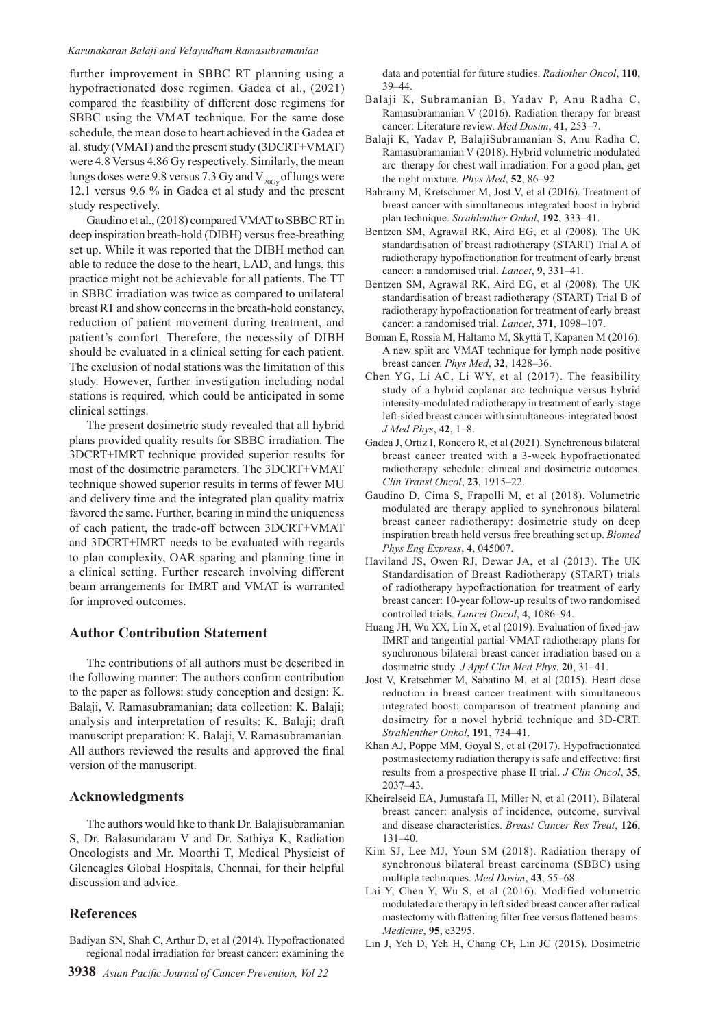#### *Karunakaran Balaji and Velayudham Ramasubramanian*

further improvement in SBBC RT planning using a hypofractionated dose regimen. Gadea et al., (2021) compared the feasibility of different dose regimens for SBBC using the VMAT technique. For the same dose schedule, the mean dose to heart achieved in the Gadea et al. study (VMAT) and the present study (3DCRT+VMAT) were 4.8 Versus 4.86 Gy respectively. Similarly, the mean lungs doses were 9.8 versus 7.3 Gy and  $V_{20\text{Gy}}$  of lungs were 12.1 versus 9.6 % in Gadea et al study and the present study respectively.

Gaudino et al., (2018) compared VMAT to SBBC RT in deep inspiration breath-hold (DIBH) versus free-breathing set up. While it was reported that the DIBH method can able to reduce the dose to the heart, LAD, and lungs, this practice might not be achievable for all patients. The TT in SBBC irradiation was twice as compared to unilateral breast RT and show concerns in the breath-hold constancy, reduction of patient movement during treatment, and patient's comfort. Therefore, the necessity of DIBH should be evaluated in a clinical setting for each patient. The exclusion of nodal stations was the limitation of this study. However, further investigation including nodal stations is required, which could be anticipated in some clinical settings.

The present dosimetric study revealed that all hybrid plans provided quality results for SBBC irradiation. The 3DCRT+IMRT technique provided superior results for most of the dosimetric parameters. The 3DCRT+VMAT technique showed superior results in terms of fewer MU and delivery time and the integrated plan quality matrix favored the same. Further, bearing in mind the uniqueness of each patient, the trade-off between 3DCRT+VMAT and 3DCRT+IMRT needs to be evaluated with regards to plan complexity, OAR sparing and planning time in a clinical setting. Further research involving different beam arrangements for IMRT and VMAT is warranted for improved outcomes.

### **Author Contribution Statement**

The contributions of all authors must be described in the following manner: The authors confirm contribution to the paper as follows: study conception and design: K. Balaji, V. Ramasubramanian; data collection: K. Balaji; analysis and interpretation of results: K. Balaji; draft manuscript preparation: K. Balaji, V. Ramasubramanian. All authors reviewed the results and approved the final version of the manuscript.

## **Acknowledgments**

The authors would like to thank Dr. Balajisubramanian S, Dr. Balasundaram V and Dr. Sathiya K, Radiation Oncologists and Mr. Moorthi T, Medical Physicist of Gleneagles Global Hospitals, Chennai, for their helpful discussion and advice.

## **References**

Badiyan SN, Shah C, Arthur D, et al (2014). Hypofractionated regional nodal irradiation for breast cancer: examining the data and potential for future studies. *Radiother Oncol*, **110**, 39–44.

- Balaji K, Subramanian B, Yadav P, Anu Radha C, Ramasubramanian V (2016). Radiation therapy for breast cancer: Literature review. *Med Dosim*, **41**, 253–7.
- Balaji K, Yadav P, BalajiSubramanian S, Anu Radha C, Ramasubramanian V (2018). Hybrid volumetric modulated arc therapy for chest wall irradiation: For a good plan, get the right mixture. *Phys Med*, **52**, 86–92.
- Bahrainy M, Kretschmer M, Jost V, et al (2016). Treatment of breast cancer with simultaneous integrated boost in hybrid plan technique. *Strahlenther Onkol*, **192**, 333–41.
- Bentzen SM, Agrawal RK, Aird EG, et al (2008). The UK standardisation of breast radiotherapy (START) Trial A of radiotherapy hypofractionation for treatment of early breast cancer: a randomised trial. *Lancet*, **9**, 331–41.
- Bentzen SM, Agrawal RK, Aird EG, et al (2008). The UK standardisation of breast radiotherapy (START) Trial B of radiotherapy hypofractionation for treatment of early breast cancer: a randomised trial. *Lancet*, **371**, 1098–107.
- Boman E, Rossia M, Haltamo M, Skyttä T, Kapanen M (2016). A new split arc VMAT technique for lymph node positive breast cancer. *Phys Med*, **32**, 1428–36.
- Chen YG, Li AC, Li WY, et al (2017). The feasibility study of a hybrid coplanar arc technique versus hybrid intensity-modulated radiotherapy in treatment of early-stage left-sided breast cancer with simultaneous-integrated boost. *J Med Phys*, **42**, 1–8.
- Gadea J, Ortiz I, Roncero R, et al (2021). Synchronous bilateral breast cancer treated with a 3-week hypofractionated radiotherapy schedule: clinical and dosimetric outcomes. *Clin Transl Oncol*, **23**, 1915–22.
- Gaudino D, Cima S, Frapolli M, et al (2018). Volumetric modulated arc therapy applied to synchronous bilateral breast cancer radiotherapy: dosimetric study on deep inspiration breath hold versus free breathing set up. *Biomed Phys Eng Express*, **4**, 045007.
- Haviland JS, Owen RJ, Dewar JA, et al (2013). The UK Standardisation of Breast Radiotherapy (START) trials of radiotherapy hypofractionation for treatment of early breast cancer: 10-year follow-up results of two randomised controlled trials. *Lancet Oncol*, **4**, 1086–94.
- Huang JH, Wu XX, Lin X, et al (2019). Evaluation of fixed-jaw IMRT and tangential partial-VMAT radiotherapy plans for synchronous bilateral breast cancer irradiation based on a dosimetric study. *J Appl Clin Med Phys*, **20**, 31–41.
- Jost V, Kretschmer M, Sabatino M, et al (2015). Heart dose reduction in breast cancer treatment with simultaneous integrated boost: comparison of treatment planning and dosimetry for a novel hybrid technique and 3D-CRT. *Strahlenther Onkol*, **191**, 734–41.
- Khan AJ, Poppe MM, Goyal S, et al (2017). Hypofractionated postmastectomy radiation therapy is safe and effective: first results from a prospective phase II trial. *J Clin Oncol*, **35**, 2037–43.
- Kheirelseid EA, Jumustafa H, Miller N, et al (2011). Bilateral breast cancer: analysis of incidence, outcome, survival and disease characteristics. *Breast Cancer Res Treat*, **126**, 131–40.
- Kim SJ, Lee MJ, Youn SM (2018). Radiation therapy of synchronous bilateral breast carcinoma (SBBC) using multiple techniques. *Med Dosim*, **43**, 55–68.
- Lai Y, Chen Y, Wu S, et al (2016). Modified volumetric modulated arc therapy in left sided breast cancer after radical mastectomy with flattening filter free versus flattened beams. *Medicine*, **95**, e3295.
- Lin J, Yeh D, Yeh H, Chang CF, Lin JC (2015). Dosimetric